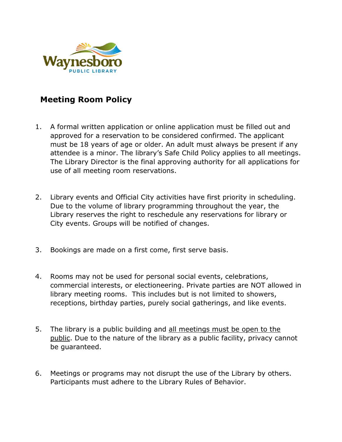

## **Meeting Room Policy**

- 1. A formal written application or online application must be filled out and approved for a reservation to be considered confirmed. The applicant must be 18 years of age or older. An adult must always be present if any attendee is a minor. The library's Safe Child Policy applies to all meetings. The Library Director is the final approving authority for all applications for use of all meeting room reservations.
- 2. Library events and Official City activities have first priority in scheduling. Due to the volume of library programming throughout the year, the Library reserves the right to reschedule any reservations for library or City events. Groups will be notified of changes.
- 3. Bookings are made on a first come, first serve basis.
- 4. Rooms may not be used for personal social events, celebrations, commercial interests, or electioneering. Private parties are NOT allowed in library meeting rooms. This includes but is not limited to showers, receptions, birthday parties, purely social gatherings, and like events.
- 5. The library is a public building and all meetings must be open to the public. Due to the nature of the library as a public facility, privacy cannot be guaranteed.
- 6. Meetings or programs may not disrupt the use of the Library by others. Participants must adhere to the Library Rules of Behavior.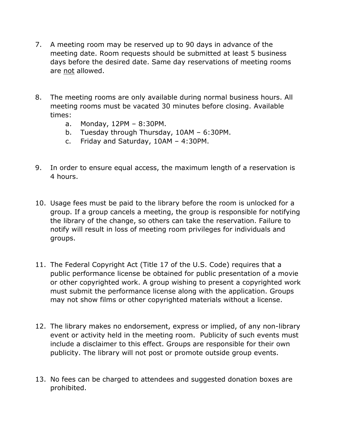- 7. A meeting room may be reserved up to 90 days in advance of the meeting date. Room requests should be submitted at least 5 business days before the desired date. Same day reservations of meeting rooms are not allowed.
- 8. The meeting rooms are only available during normal business hours. All meeting rooms must be vacated 30 minutes before closing. Available times:
	- a. Monday, 12PM 8:30PM.
	- b. Tuesday through Thursday, 10AM 6:30PM.
	- c. Friday and Saturday, 10AM 4:30PM.
- 9. In order to ensure equal access, the maximum length of a reservation is 4 hours.
- 10. Usage fees must be paid to the library before the room is unlocked for a group. If a group cancels a meeting, the group is responsible for notifying the library of the change, so others can take the reservation. Failure to notify will result in loss of meeting room privileges for individuals and groups.
- 11. The Federal Copyright Act (Title 17 of the U.S. Code) requires that a public performance license be obtained for public presentation of a movie or other copyrighted work. A group wishing to present a copyrighted work must submit the performance license along with the application. Groups may not show films or other copyrighted materials without a license.
- 12. The library makes no endorsement, express or implied, of any non-library event or activity held in the meeting room. Publicity of such events must include a disclaimer to this effect. Groups are responsible for their own publicity. The library will not post or promote outside group events.
- 13. No fees can be charged to attendees and suggested donation boxes are prohibited.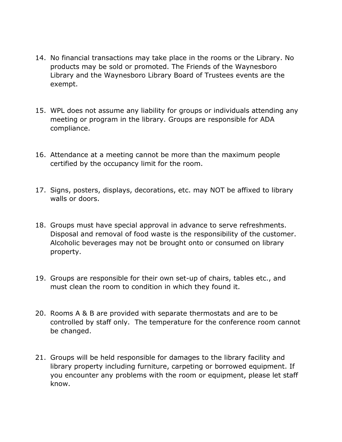- 14. No financial transactions may take place in the rooms or the Library. No products may be sold or promoted. The Friends of the Waynesboro Library and the Waynesboro Library Board of Trustees events are the exempt.
- 15. WPL does not assume any liability for groups or individuals attending any meeting or program in the library. Groups are responsible for ADA compliance.
- 16. Attendance at a meeting cannot be more than the maximum people certified by the occupancy limit for the room.
- 17. Signs, posters, displays, decorations, etc. may NOT be affixed to library walls or doors.
- 18. Groups must have special approval in advance to serve refreshments. Disposal and removal of food waste is the responsibility of the customer. Alcoholic beverages may not be brought onto or consumed on library property.
- 19. Groups are responsible for their own set-up of chairs, tables etc., and must clean the room to condition in which they found it.
- 20. Rooms A & B are provided with separate thermostats and are to be controlled by staff only. The temperature for the conference room cannot be changed.
- 21. Groups will be held responsible for damages to the library facility and library property including furniture, carpeting or borrowed equipment. If you encounter any problems with the room or equipment, please let staff know.